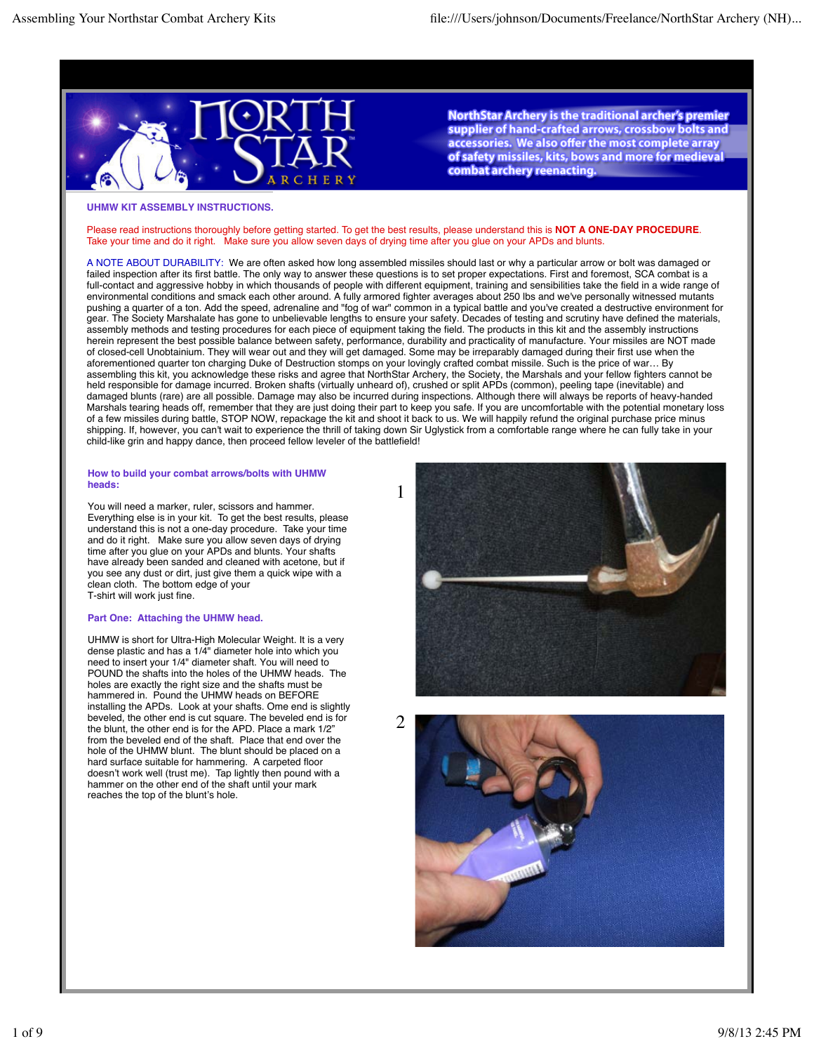

NorthStar Archery is the traditional archer's premier supplier of hand-crafted arrows, crossbow bolts and accessories. We also offer the most complete array of safety missiles, kits, bows and more for medieval combat archery reenacting.

## **UHMW KIT ASSEMBLY INSTRUCTIONS.**

Please read instructions thoroughly before getting started. To get the best results, please understand this is **NOT A ONE-DAY PROCEDURE**. Take your time and do it right. Make sure you allow seven days of drying time after you glue on your APDs and blunts.

A NOTE ABOUT DURABILITY: We are often asked how long assembled missiles should last or why a particular arrow or bolt was damaged or failed inspection after its first battle. The only way to answer these questions is to set proper expectations. First and foremost, SCA combat is a full-contact and aggressive hobby in which thousands of people with different equipment, training and sensibilities take the field in a wide range of environmental conditions and smack each other around. A fully armored fighter averages about 250 lbs and we've personally witnessed mutants pushing a quarter of a ton. Add the speed, adrenaline and "fog of war" common in a typical battle and you've created a destructive environment for gear. The Society Marshalate has gone to unbelievable lengths to ensure your safety. Decades of testing and scrutiny have defined the materials, assembly methods and testing procedures for each piece of equipment taking the field. The products in this kit and the assembly instructions herein represent the best possible balance between safety, performance, durability and practicality of manufacture. Your missiles are NOT made of closed-cell Unobtainium. They will wear out and they will get damaged. Some may be irreparably damaged during their first use when the aforementioned quarter ton charging Duke of Destruction stomps on your lovingly crafted combat missile. Such is the price of war… By assembling this kit, you acknowledge these risks and agree that NorthStar Archery, the Society, the Marshals and your fellow fighters cannot be held responsible for damage incurred. Broken shafts (virtually unheard of), crushed or split APDs (common), peeling tape (inevitable) and damaged blunts (rare) are all possible. Damage may also be incurred during inspections. Although there will always be reports of heavy-handed Marshals tearing heads off, remember that they are just doing their part to keep you safe. If you are uncomfortable with the potential monetary loss of a few missiles during battle, STOP NOW, repackage the kit and shoot it back to us. We will happily refund the original purchase price minus shipping. If, however, you can't wait to experience the thrill of taking down Sir Uglystick from a comfortable range where he can fully take in your child-like grin and happy dance, then proceed fellow leveler of the battlefield!

#### **How to build your combat arrows/bolts with UHMW heads:**

You will need a marker, ruler, scissors and hammer. Everything else is in your kit. To get the best results, please understand this is not a one-day procedure. Take your time and do it right. Make sure you allow seven days of drying time after you glue on your APDs and blunts. Your shafts have already been sanded and cleaned with acetone, but if you see any dust or dirt, just give them a quick wipe with a clean cloth. The bottom edge of your T-shirt will work just fine.

# **Part One: Attaching the UHMW head.**

UHMW is short for Ultra-High Molecular Weight. It is a very dense plastic and has a 1/4" diameter hole into which you need to insert your 1/4" diameter shaft. You will need to POUND the shafts into the holes of the UHMW heads. The holes are exactly the right size and the shafts must be hammered in. Pound the UHMW heads on BEFORE installing the APDs. Look at your shafts. Ome end is slightly beveled, the other end is cut square. The beveled end is for the blunt, the other end is for the APD. Place a mark 1/2" from the beveled end of the shaft. Place that end over the hole of the UHMW blunt. The blunt should be placed on a hard surface suitable for hammering. A carpeted floor doesn't work well (trust me). Tap lightly then pound with a hammer on the other end of the shaft until your mark reaches the top of the blunt's hole.



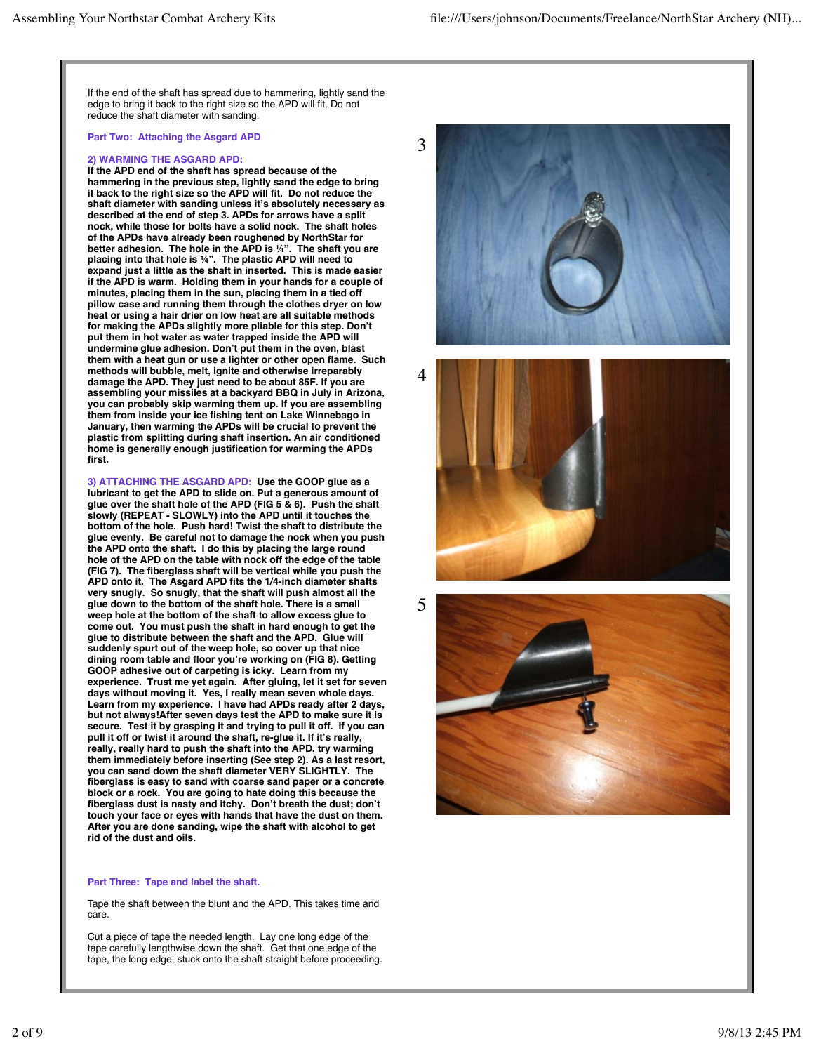If the end of the shaft has spread due to hammering, lightly sand the edge to bring it back to the right size so the APD will fit. Do not reduce the shaft diameter with sanding.

#### **Part Two: Attaching the Asgard APD**

## **2) WARMING THE ASGARD APD:**

**If the APD end of the shaft has spread because of the hammering in the previous step, lightly sand the edge to bring it back to the right size so the APD will fit. Do not reduce the shaft diameter with sanding unless it's absolutely necessary as described at the end of step 3. APDs for arrows have a split nock, while those for bolts have a solid nock. The shaft holes of the APDs have already been roughened by NorthStar for better adhesion. The hole in the APD is ¼". The shaft you are placing into that hole is ¼". The plastic APD will need to expand just a little as the shaft in inserted. This is made easier if the APD is warm. Holding them in your hands for a couple of minutes, placing them in the sun, placing them in a tied off pillow case and running them through the clothes dryer on low heat or using a hair drier on low heat are all suitable methods for making the APDs slightly more pliable for this step. Don't put them in hot water as water trapped inside the APD will undermine glue adhesion. Don't put them in the oven, blast them with a heat gun or use a lighter or other open flame. Such methods will bubble, melt, ignite and otherwise irreparably damage the APD. They just need to be about 85F. If you are assembling your missiles at a backyard BBQ in July in Arizona, you can probably skip warming them up. If you are assembling them from inside your ice fishing tent on Lake Winnebago in January, then warming the APDs will be crucial to prevent the plastic from splitting during shaft insertion. An air conditioned home is generally enough justification for warming the APDs first.**

**3) ATTACHING THE ASGARD APD: Use the GOOP glue as a lubricant to get the APD to slide on. Put a generous amount of glue over the shaft hole of the APD (FIG 5 & 6). Push the shaft slowly (REPEAT - SLOWLY) into the APD until it touches the bottom of the hole. Push hard! Twist the shaft to distribute the glue evenly. Be careful not to damage the nock when you push the APD onto the shaft. I do this by placing the large round hole of the APD on the table with nock off the edge of the table (FIG 7). The fiberglass shaft will be vertical while you push the APD onto it. The Asgard APD fits the 1/4-inch diameter shafts very snugly. So snugly, that the shaft will push almost all the glue down to the bottom of the shaft hole. There is a small weep hole at the bottom of the shaft to allow excess glue to come out. You must push the shaft in hard enough to get the glue to distribute between the shaft and the APD. Glue will suddenly spurt out of the weep hole, so cover up that nice dining room table and floor you're working on (FIG 8). Getting GOOP adhesive out of carpeting is icky. Learn from my experience. Trust me yet again. After gluing, let it set for seven days without moving it. Yes, I really mean seven whole days. Learn from my experience. I have had APDs ready after 2 days, but not always!After seven days test the APD to make sure it is secure. Test it by grasping it and trying to pull it off. If you can pull it off or twist it around the shaft, re-glue it. If it's really, really, really hard to push the shaft into the APD, try warming them immediately before inserting (See step 2). As a last resort, you can sand down the shaft diameter VERY SLIGHTLY. The fiberglass is easy to sand with coarse sand paper or a concrete block or a rock. You are going to hate doing this because the fiberglass dust is nasty and itchy. Don't breath the dust; don't touch your face or eyes with hands that have the dust on them. After you are done sanding, wipe the shaft with alcohol to get rid of the dust and oils.**

# **Part Three: Tape and label the shaft.**

Tape the shaft between the blunt and the APD. This takes time and care.

Cut a piece of tape the needed length. Lay one long edge of the tape carefully lengthwise down the shaft. Get that one edge of the tape, the long edge, stuck onto the shaft straight before proceeding.





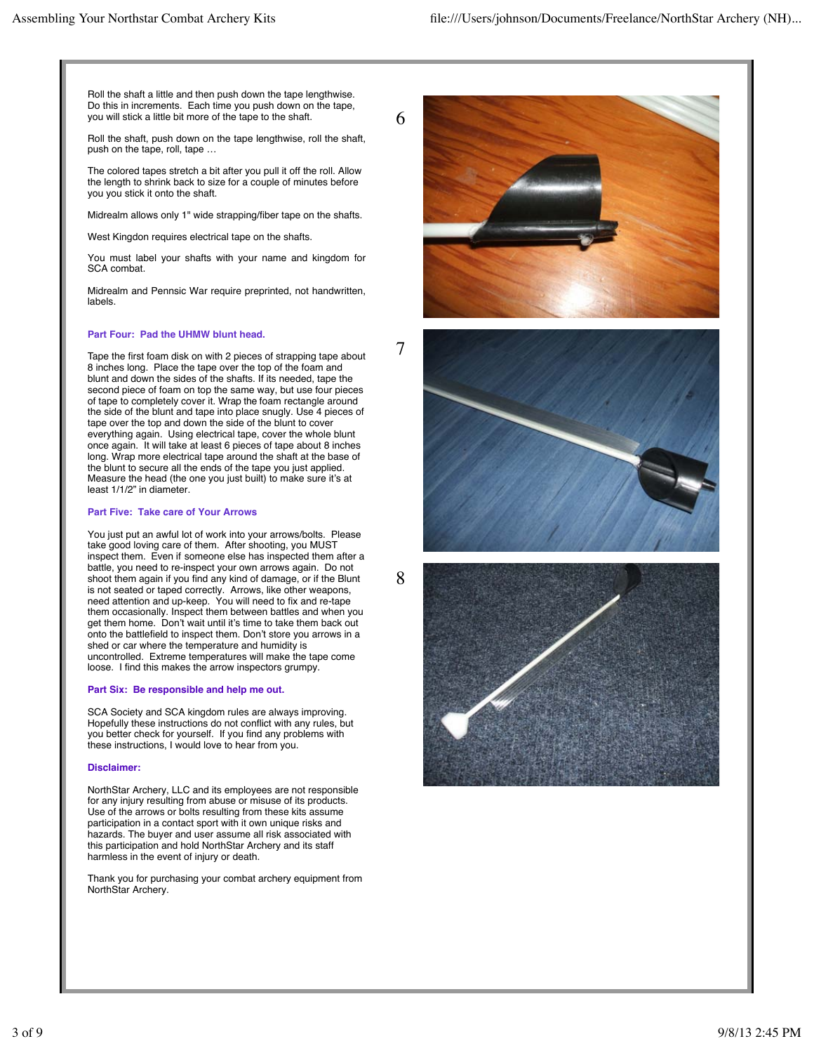Roll the shaft a little and then push down the tape lengthwise. Do this in increments. Each time you push down on the tape, you will stick a little bit more of the tape to the shaft.

Roll the shaft, push down on the tape lengthwise, roll the shaft, push on the tape, roll, tape …

The colored tapes stretch a bit after you pull it off the roll. Allow the length to shrink back to size for a couple of minutes before you you stick it onto the shaft.

Midrealm allows only 1" wide strapping/fiber tape on the shafts.

West Kingdon requires electrical tape on the shafts.

You must label your shafts with your name and kingdom for SCA combat.

Midrealm and Pennsic War require preprinted, not handwritten, labels.

## **Part Four: Pad the UHMW blunt head.**

Tape the first foam disk on with 2 pieces of strapping tape about 8 inches long. Place the tape over the top of the foam and blunt and down the sides of the shafts. If its needed, tape the second piece of foam on top the same way, but use four pieces of tape to completely cover it. Wrap the foam rectangle around the side of the blunt and tape into place snugly. Use 4 pieces of tape over the top and down the side of the blunt to cover everything again. Using electrical tape, cover the whole blunt once again. It will take at least 6 pieces of tape about 8 inches long. Wrap more electrical tape around the shaft at the base of the blunt to secure all the ends of the tape you just applied. Measure the head (the one you just built) to make sure it's at least 1/1/2" in diameter.

# **Part Five: Take care of Your Arrows**

You just put an awful lot of work into your arrows/bolts. Please take good loving care of them. After shooting, you MUST inspect them. Even if someone else has inspected them after a battle, you need to re-inspect your own arrows again. Do not shoot them again if you find any kind of damage, or if the Blunt is not seated or taped correctly. Arrows, like other weapons, need attention and up-keep. You will need to fix and re-tape them occasionally. Inspect them between battles and when you get them home. Don't wait until it's time to take them back out onto the battlefield to inspect them. Don't store you arrows in a shed or car where the temperature and humidity is uncontrolled. Extreme temperatures will make the tape come loose. I find this makes the arrow inspectors grumpy.

#### **Part Six: Be responsible and help me out.**

SCA Society and SCA kingdom rules are always improving. Hopefully these instructions do not conflict with any rules, but you better check for yourself. If you find any problems with these instructions, I would love to hear from you.

#### **Disclaimer:**

NorthStar Archery, LLC and its employees are not responsible for any injury resulting from abuse or misuse of its products. Use of the arrows or bolts resulting from these kits assume participation in a contact sport with it own unique risks and hazards. The buyer and user assume all risk associated with this participation and hold NorthStar Archery and its staff harmless in the event of injury or death.

Thank you for purchasing your combat archery equipment from NorthStar Archery.



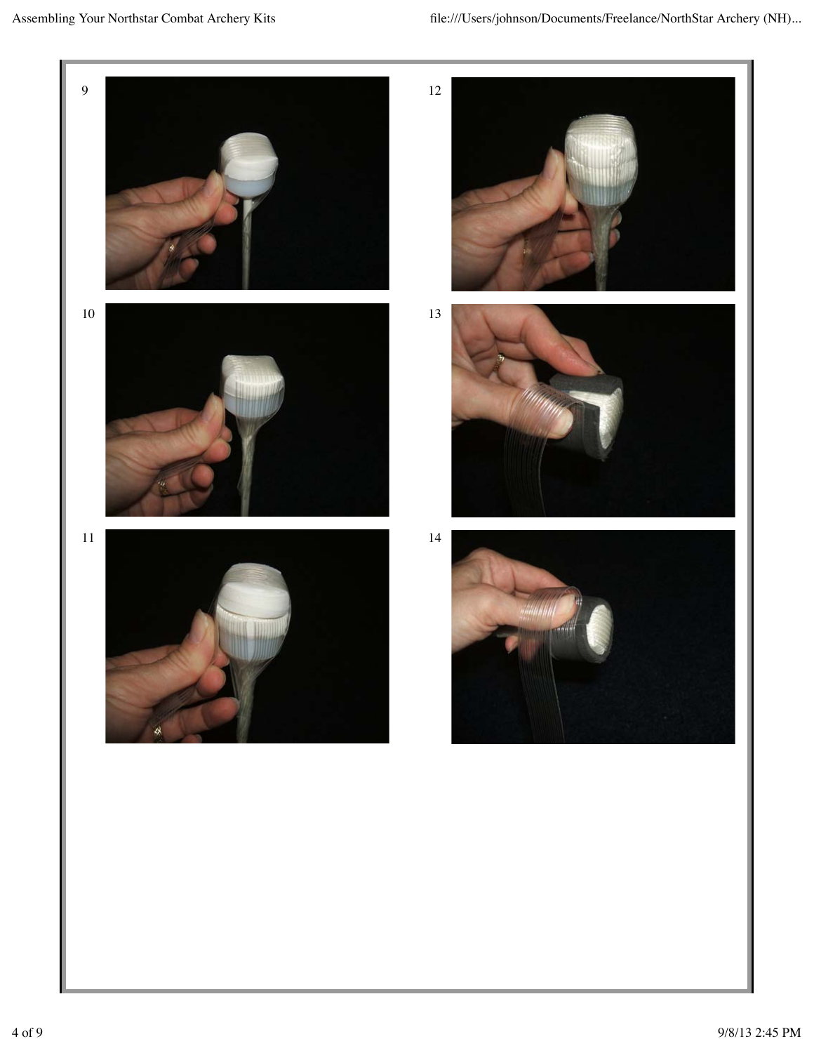











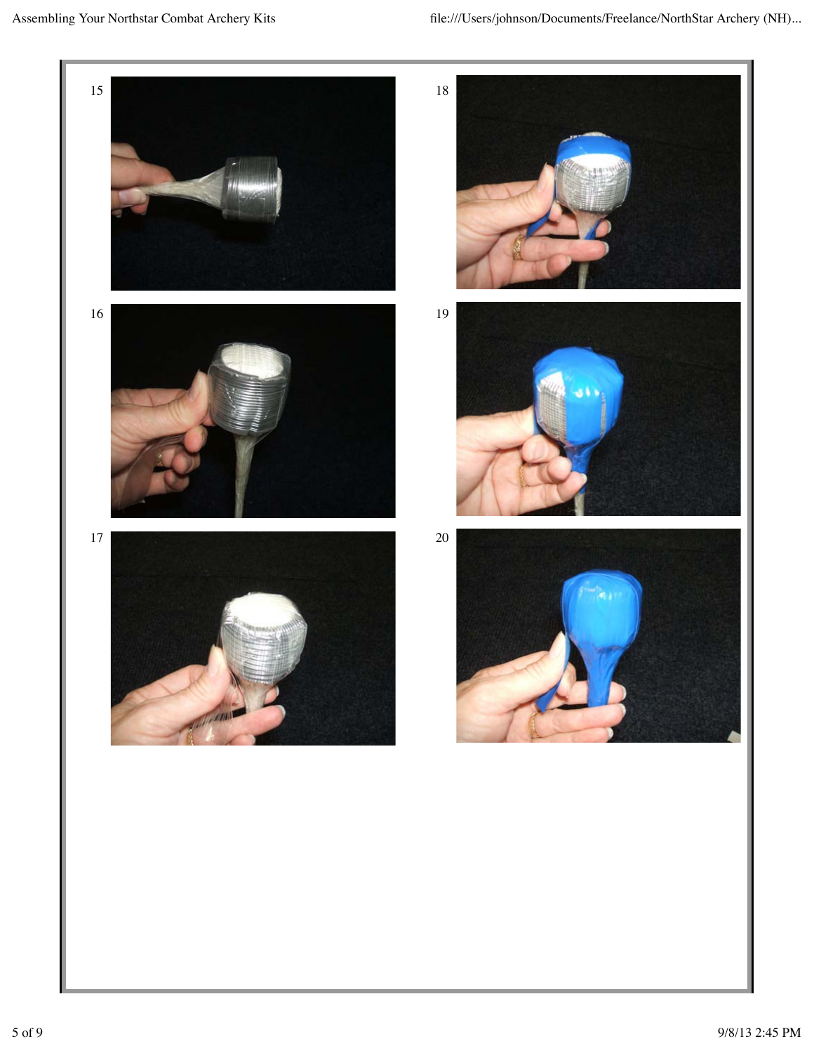